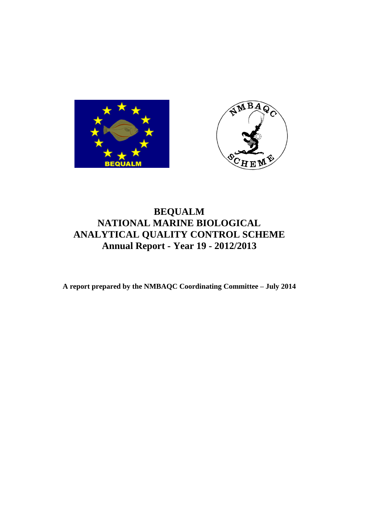



# **BEQUALM NATIONAL MARINE BIOLOGICAL ANALYTICAL QUALITY CONTROL SCHEME Annual Report - Year 19 - 2012/2013**

**A report prepared by the NMBAQC Coordinating Committee – July 2014**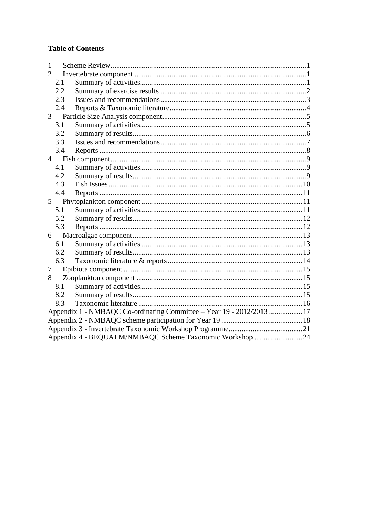## **Table of Contents**

| 1              |                                                                      |  |  |  |  |  |  |
|----------------|----------------------------------------------------------------------|--|--|--|--|--|--|
| 2              |                                                                      |  |  |  |  |  |  |
|                | 2.1                                                                  |  |  |  |  |  |  |
|                | 2.2                                                                  |  |  |  |  |  |  |
|                | 2.3                                                                  |  |  |  |  |  |  |
|                | 2.4                                                                  |  |  |  |  |  |  |
|                |                                                                      |  |  |  |  |  |  |
|                | 3.1                                                                  |  |  |  |  |  |  |
|                | 3.2                                                                  |  |  |  |  |  |  |
|                | 3.3                                                                  |  |  |  |  |  |  |
|                | 3.4                                                                  |  |  |  |  |  |  |
|                |                                                                      |  |  |  |  |  |  |
|                | 4.1                                                                  |  |  |  |  |  |  |
|                | 4.2                                                                  |  |  |  |  |  |  |
|                | 4.3                                                                  |  |  |  |  |  |  |
|                | 4.4                                                                  |  |  |  |  |  |  |
| 5 <sup>5</sup> |                                                                      |  |  |  |  |  |  |
|                | 5.1                                                                  |  |  |  |  |  |  |
|                | 5.2                                                                  |  |  |  |  |  |  |
|                | 5.3                                                                  |  |  |  |  |  |  |
|                | 6                                                                    |  |  |  |  |  |  |
|                | 6.1                                                                  |  |  |  |  |  |  |
|                | 6.2                                                                  |  |  |  |  |  |  |
|                | 6.3                                                                  |  |  |  |  |  |  |
| 7              |                                                                      |  |  |  |  |  |  |
| 8              |                                                                      |  |  |  |  |  |  |
|                | 8.1                                                                  |  |  |  |  |  |  |
|                | 8.2                                                                  |  |  |  |  |  |  |
|                | 8.3                                                                  |  |  |  |  |  |  |
|                | Appendix 1 - NMBAQC Co-ordinating Committee - Year 19 - 2012/2013 17 |  |  |  |  |  |  |
|                |                                                                      |  |  |  |  |  |  |
|                |                                                                      |  |  |  |  |  |  |
|                | Appendix 4 - BEQUALM/NMBAQC Scheme Taxonomic Workshop 24             |  |  |  |  |  |  |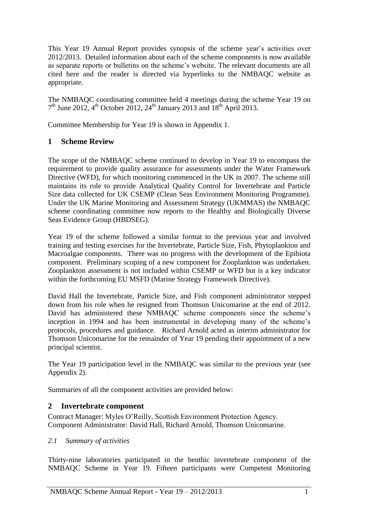This Year 19 Annual Report provides synopsis of the scheme year's activities over 2012/2013. Detailed information about each of the scheme components is now available as separate reports or bulletins on the scheme's website. The relevant documents are all cited here and the reader is directed via hyperlinks to the NMBAQC website as appropriate.

The NMBAQC coordinating committee held 4 meetings during the scheme Year 19 on  $7<sup>th</sup>$  June 2012,  $4<sup>th</sup>$  October 2012,  $24<sup>th</sup>$  January 2013 and  $18<sup>th</sup>$  April 2013.

Committee Membership for Year 19 is shown in Appendix 1.

## <span id="page-2-0"></span>**1 Scheme Review**

The scope of the NMBAQC scheme continued to develop in Year 19 to encompass the requirement to provide quality assurance for assessments under the Water Framework Directive (WFD), for which monitoring commenced in the UK in 2007. The scheme still maintains its role to provide Analytical Quality Control for Invertebrate and Particle Size data collected for UK CSEMP (Clean Seas Environment Monitoring Programme). Under the UK Marine Monitoring and Assessment Strategy (UKMMAS) the NMBAQC scheme coordinating committee now reports to the Healthy and Biologically Diverse Seas Evidence Group (HBDSEG).

Year 19 of the scheme followed a similar format to the previous year and involved training and testing exercises for the Invertebrate, Particle Size, Fish, Phytoplankton and Macroalgae components. There was no progress with the development of the Epibiota component. Preliminary scoping of a new component for Zooplankton was undertaken. Zooplankton assessment is not included within CSEMP or WFD but is a key indicator within the forthcoming EU MSFD (Marine Strategy Framework Directive).

David Hall the Invertebrate, Particle Size, and Fish component administrator stepped down from his role when he resigned from Thomson Unicomarine at the end of 2012. David has administered these NMBAQC scheme components since the scheme's inception in 1994 and has been instrumental in developing many of the scheme's protocols, procedures and guidance. Richard Arnold acted as interim administrator for Thomson Unicomarine for the remainder of Year 19 pending their appointment of a new principal scientist.

The Year 19 participation level in the NMBAQC was similar to the previous year (see Appendix 2).

Summaries of all the component activities are provided below:

## <span id="page-2-1"></span>**2 Invertebrate component**

Contract Manager: Myles O'Reilly, Scottish Environment Protection Agency. Component Administrator: David Hall, Richard Arnold, Thomson Unicomarine.

#### <span id="page-2-2"></span>*2.1 Summary of activities*

Thirty-nine laboratories participated in the benthic invertebrate component of the NMBAQC Scheme in Year 19. Fifteen participants were Competent Monitoring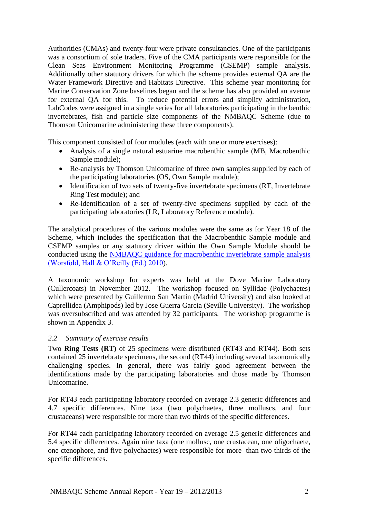Authorities (CMAs) and twenty-four were private consultancies. One of the participants was a consortium of sole traders. Five of the CMA participants were responsible for the Clean Seas Environment Monitoring Programme (CSEMP) sample analysis. Additionally other statutory drivers for which the scheme provides external QA are the Water Framework Directive and Habitats Directive. This scheme year monitoring for Marine Conservation Zone baselines began and the scheme has also provided an avenue for external QA for this. To reduce potential errors and simplify administration, LabCodes were assigned in a single series for all laboratories participating in the benthic invertebrates, fish and particle size components of the NMBAQC Scheme (due to Thomson Unicomarine administering these three components).

This component consisted of four modules (each with one or more exercises):

- Analysis of a single natural estuarine macrobenthic sample (MB, Macrobenthic Sample module);
- Re-analysis by Thomson Unicomarine of three own samples supplied by each of the participating laboratories (OS, Own Sample module);
- Identification of two sets of twenty-five invertebrate specimens (RT, Invertebrate Ring Test module); and
- Re-identification of a set of twenty-five specimens supplied by each of the participating laboratories (LR, Laboratory Reference module).

The analytical procedures of the various modules were the same as for Year 18 of the Scheme, which includes the specification that the Macrobenthic Sample module and CSEMP samples or any statutory driver within the Own Sample Module should be conducted using the [NMBAQC guidance for macrobenthic invertebrate sample analysis](http://www.nmbaqcs.org/media/9732/nmbaqc%20-%20inv%20-%20prp%20-%20v1.0%20june2010.pdf) (Worsfold, Hall & O'Reilly (Ed.) 2010).

A taxonomic workshop for experts was held at the Dove Marine Laboratory (Cullercoats) in November 2012. The workshop focused on Syllidae (Polychaetes) which were presented by Guillermo San Martin (Madrid University) and also looked at Caprellidea (Amphipods) led by Jose Guerra Garcia (Seville University). The workshop was oversubscribed and was attended by 32 participants. The workshop programme is shown in Appendix 3.

## <span id="page-3-0"></span>*2.2 Summary of exercise results*

Two **Ring Tests (RT)** of 25 specimens were distributed (RT43 and RT44). Both sets contained 25 invertebrate specimens, the second (RT44) including several taxonomically challenging species. In general, there was fairly good agreement between the identifications made by the participating laboratories and those made by Thomson Unicomarine.

For RT43 each participating laboratory recorded on average 2.3 generic differences and 4.7 specific differences. Nine taxa (two polychaetes, three molluscs, and four crustaceans) were responsible for more than two thirds of the specific differences.

For RT44 each participating laboratory recorded on average 2.5 generic differences and 5.4 specific differences. Again nine taxa (one mollusc, one crustacean, one oligochaete, one ctenophore, and five polychaetes) were responsible for more than two thirds of the specific differences.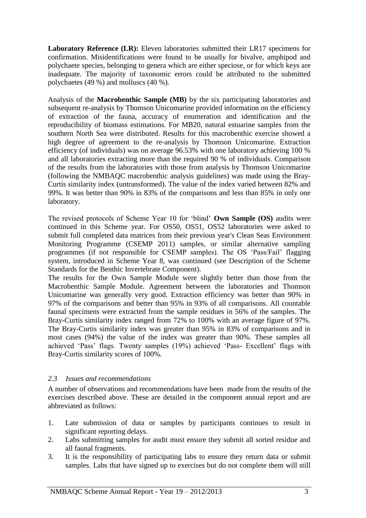**Laboratory Reference (LR):** Eleven laboratories submitted their LR17 specimens for confirmation. Misidentifications were found to be usually for bivalve, amphipod and polychaete species, belonging to genera which are either speciose, or for which keys are inadequate. The majority of taxonomic errors could be attributed to the submitted polychaetes (49 %) and molluscs (40 %).

Analysis of the **Macrobenthic Sample (MB)** by the six participating laboratories and subsequent re-analysis by Thomson Unicomarine provided information on the efficiency of extraction of the fauna, accuracy of enumeration and identification and the reproducibility of biomass estimations. For MB20, natural estuarine samples from the southern North Sea were distributed. Results for this macrobenthic exercise showed a high degree of agreement to the re-analysis by Thomson Unicomarine. Extraction efficiency (of individuals) was on average 96.53% with one laboratory achieving 100 % and all laboratories extracting more than the required 90 % of individuals. Comparison of the results from the laboratories with those from analysis by Thomson Unicomarine (following the NMBAQC macrobenthic analysis guidelines) was made using the Bray-Curtis similarity index (untransformed). The value of the index varied between 82% and 99%. It was better than 90% in 83% of the comparisons and less than 85% in only one laboratory.

The revised protocols of Scheme Year 10 for 'blind' **Own Sample (OS)** audits were continued in this Scheme year. For OS50, OS51, OS52 laboratories were asked to submit full completed data matrices from their previous year's Clean Seas Environment Monitoring Programme (CSEMP 2011) samples, or similar alternative sampling programmes (if not responsible for CSEMP samples). The OS 'Pass/Fail' flagging system, introduced in Scheme Year 8, was continued (see Description of the Scheme Standards for the Benthic Invertebrate Component).

The results for the Own Sample Module were slightly better than those from the Macrobenthic Sample Module. Agreement between the laboratories and Thomson Unicomarine was generally very good. Extraction efficiency was better than 90% in 97% of the comparisons and better than 95% in 93% of all comparisons. All countable faunal specimens were extracted from the sample residues in 56% of the samples. The Bray-Curtis similarity index ranged from 72% to 100% with an average figure of 97%. The Bray-Curtis similarity index was greater than 95% in 83% of comparisons and in most cases (94%) the value of the index was greater than 90%. These samples all achieved 'Pass' flags. Twenty samples (19%) achieved 'Pass- Excellent' flags with Bray-Curtis similarity scores of 100%.

#### <span id="page-4-0"></span>*2.3 Issues and recommendations*

A number of observations and recommendations have been made from the results of the exercises described above. These are detailed in the component annual report and are abbreviated as follows:

- 1. Late submission of data or samples by participants continues to result in significant reporting delays.
- 2. Labs submitting samples for audit must ensure they submit all sorted residue and all faunal fragments.
- 3. It is the responsibility of participating labs to ensure they return data or submit samples. Labs that have signed up to exercises but do not complete them will still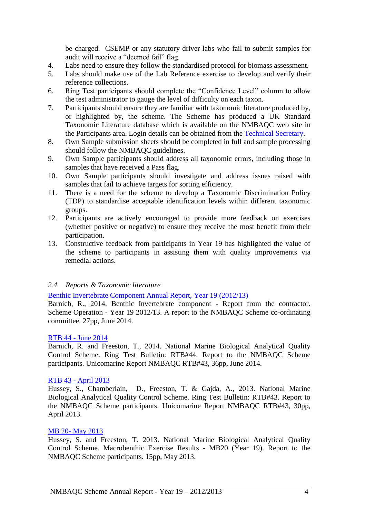be charged. CSEMP or any statutory driver labs who fail to submit samples for audit will receive a "deemed fail" flag.

- 4. Labs need to ensure they follow the standardised protocol for biomass assessment.
- 5. Labs should make use of the Lab Reference exercise to develop and verify their reference collections.
- 6. Ring Test participants should complete the "Confidence Level" column to allow the test administrator to gauge the level of difficulty on each taxon.
- 7. Participants should ensure they are familiar with taxonomic literature produced by, or highlighted by, the scheme. The Scheme has produced a UK Standard Taxonomic Literature database which is available on the NMBAQC web site in the Participants area. Login details can be obtained from the [Technical Secretary.](mailto:acfi@sahfos.ac.uk?subject=NMBAQC%20Participant%20Area%20login%20details)
- 8. Own Sample submission sheets should be completed in full and sample processing should follow the NMBAQC guidelines.
- 9. Own Sample participants should address all taxonomic errors, including those in samples that have received a Pass flag.
- 10. Own Sample participants should investigate and address issues raised with samples that fail to achieve targets for sorting efficiency.
- 11. There is a need for the scheme to develop a Taxonomic Discrimination Policy (TDP) to standardise acceptable identification levels within different taxonomic groups.
- 12. Participants are actively encouraged to provide more feedback on exercises (whether positive or negative) to ensure they receive the most benefit from their participation.
- 13. Constructive feedback from participants in Year 19 has highlighted the value of the scheme to participants in assisting them with quality improvements via remedial actions.

#### <span id="page-5-0"></span>*2.4 Reports & Taxonomic literature*

[Benthic Invertebrate Component Annual Report, Year 19 \(2012/13\)](http://www.nmbaqcs.org/media/16500/yr19_annreport%20invertebrates_rb24062014.pdf)

Barnich, R., 2014. Benthic Invertebrate component - Report from the contractor. Scheme Operation - Year 19 2012/13. A report to the NMBAQC Scheme co-ordinating committee. 27pp, June 2014.

#### RTB 44 - [June 2014](http://www.nmbaqcs.org/media/15157/rtb44final_rb09062014.pdf)

Barnich, R. and Freeston, T., 2014. National Marine Biological Analytical Quality Control Scheme. Ring Test Bulletin: RTB#44. Report to the NMBAQC Scheme participants. Unicomarine Report NMBAQC RTB#43, 36pp, June 2014.

#### RTB 43 - [April 2013](http://www.nmbaqcs.org/scheme-components/invertebrates/reports/rtb43.aspx)

Hussey, S., Chamberlain, D., Freeston, T. & Gajda, A., 2013. National Marine Biological Analytical Quality Control Scheme. Ring Test Bulletin: RTB#43. Report to the NMBAQC Scheme participants. Unicomarine Report NMBAQC RTB#43, 30pp, April 2013.

#### MB 20- [May 2013](http://www.nmbaqcs.org/media/14676/macrobenthic%2020reportamendedrb13_8_13.pdf)

Hussey, S. and Freeston, T. 2013. National Marine Biological Analytical Quality Control Scheme. Macrobenthic Exercise Results - MB20 (Year 19). Report to the NMBAQC Scheme participants. 15pp, May 2013.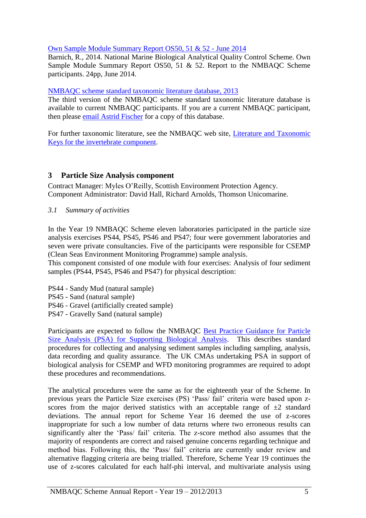### [Own Sample Module Summary Report OS50, 51 & 52 -](http://www.nmbaqcs.org/scheme-components/invertebrates/reports/os-summary-report-year-19.aspx) June 2014

Barnich, R., 2014. National Marine Biological Analytical Quality Control Scheme. Own Sample Module Summary Report OS50, 51 & 52. Report to the NMBAQC Scheme participants. 24pp, June 2014.

#### NMBAQC scheme [standard taxonomic literature database, 2013](mailto:acfi@sahfos.ac.uk?subject=Invertebrates%20Taxonomic%20Key)

The third version of the NMBAQC scheme standard taxonomic literature database is available to current NMBAQC participants. If you are a current NMBAQC participant, then please [email Astrid Fischer](mailto:acfi@sahfos.ac.uk?subject=Invertebrates%20Taxonomic%20Key) for a copy of this database.

For further taxonomic literature, see the NMBAQC web site, [Literature and Taxonomic](http://www.nmbaqcs.org/scheme-components/invertebrates/literature-and-taxonomic-keys.aspx)  Keys for the [invertebrate component.](http://www.nmbaqcs.org/scheme-components/invertebrates/literature-and-taxonomic-keys.aspx)

## <span id="page-6-0"></span>**3 Particle Size Analysis component**

Contract Manager: Myles O'Reilly, Scottish Environment Protection Agency. Component Administrator: David Hall, Richard Arnolds, Thomson Unicomarine.

<span id="page-6-1"></span>*3.1 Summary of activities*

In the Year 19 NMBAQC Scheme eleven laboratories participated in the particle size analysis exercises PS44, PS45, PS46 and PS47; four were government laboratories and seven were private consultancies. Five of the participants were responsible for CSEMP (Clean Seas Environment Monitoring Programme) sample analysis.

This component consisted of one module with four exercises: Analysis of four sediment samples (PS44, PS45, PS46 and PS47) for physical description:

- PS44 Sandy Mud (natural sample)
- PS45 Sand (natural sample)
- PS46 Gravel (artificially created sample)
- PS47 Gravelly Sand (natural sample)

Participants are expected to follow the NMBAQC Best Practice [Guidance for Particle](http://www.nmbaqcs.org/media/10839/nmbaqc%20best%20practice%20guidance_particle%20size%20analysis.pdf)  [Size Analysis \(PSA\) for Supporting Biological Analysis.](http://www.nmbaqcs.org/media/10839/nmbaqc%20best%20practice%20guidance_particle%20size%20analysis.pdf) This describes standard procedures for collecting and analysing sediment samples including sampling, analysis, data recording and quality assurance. The UK CMAs undertaking PSA in support of biological analysis for CSEMP and WFD monitoring programmes are required to adopt these procedures and recommendations.

The analytical procedures were the same as for the eighteenth year of the Scheme. In previous years the Particle Size exercises (PS) 'Pass/ fail' criteria were based upon zscores from the major derived statistics with an acceptable range of  $\pm 2$  standard deviations. The annual report for Scheme Year 16 deemed the use of z-scores inappropriate for such a low number of data returns where two erroneous results can significantly alter the 'Pass/ fail' criteria. The z-score method also assumes that the majority of respondents are correct and raised genuine concerns regarding technique and method bias. Following this, the 'Pass/ fail' criteria are currently under review and alternative flagging criteria are being trialled. Therefore, Scheme Year 19 continues the use of z-scores calculated for each half-phi interval, and multivariate analysis using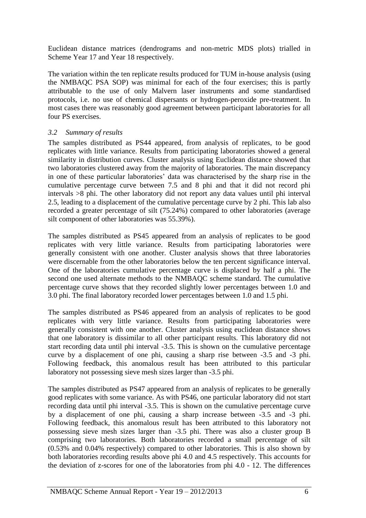Euclidean distance matrices (dendrograms and non-metric MDS plots) trialled in Scheme Year 17 and Year 18 respectively.

The variation within the ten replicate results produced for TUM in-house analysis (using the NMBAQC PSA SOP) was minimal for each of the four exercises; this is partly attributable to the use of only Malvern laser instruments and some standardised protocols, i.e. no use of chemical dispersants or hydrogen-peroxide pre-treatment. In most cases there was reasonably good agreement between participant laboratories for all four PS exercises.

### <span id="page-7-0"></span>*3.2 Summary of results*

The samples distributed as PS44 appeared, from analysis of replicates, to be good replicates with little variance. Results from participating laboratories showed a general similarity in distribution curves. Cluster analysis using Euclidean distance showed that two laboratories clustered away from the majority of laboratories. The main discrepancy in one of these particular laboratories' data was characterised by the sharp rise in the cumulative percentage curve between 7.5 and 8 phi and that it did not record phi intervals >8 phi. The other laboratory did not report any data values until phi interval 2.5, leading to a displacement of the cumulative percentage curve by 2 phi. This lab also recorded a greater percentage of silt (75.24%) compared to other laboratories (average silt component of other laboratories was 55.39%).

The samples distributed as PS45 appeared from an analysis of replicates to be good replicates with very little variance. Results from participating laboratories were generally consistent with one another. Cluster analysis shows that three laboratories were discernable from the other laboratories below the ten percent significance interval. One of the laboratories cumulative percentage curve is displaced by half a phi. The second one used alternate methods to the NMBAQC scheme standard. The cumulative percentage curve shows that they recorded slightly lower percentages between 1.0 and 3.0 phi. The final laboratory recorded lower percentages between 1.0 and 1.5 phi.

The samples distributed as PS46 appeared from an analysis of replicates to be good replicates with very little variance. Results from participating laboratories were generally consistent with one another. Cluster analysis using euclidean distance shows that one laboratory is dissimilar to all other participant results. This laboratory did not start recording data until phi interval -3.5. This is shown on the cumulative percentage curve by a displacement of one phi, causing a sharp rise between -3.5 and -3 phi. Following feedback, this anomalous result has been attributed to this particular laboratory not possessing sieve mesh sizes larger than -3.5 phi.

The samples distributed as PS47 appeared from an analysis of replicates to be generally good replicates with some variance. As with PS46, one particular laboratory did not start recording data until phi interval -3.5. This is shown on the cumulative percentage curve by a displacement of one phi, causing a sharp increase between -3.5 and -3 phi. Following feedback, this anomalous result has been attributed to this laboratory not possessing sieve mesh sizes larger than -3.5 phi. There was also a cluster group B comprising two laboratories. Both laboratories recorded a small percentage of silt (0.53% and 0.04% respectively) compared to other laboratories. This is also shown by both laboratories recording results above phi 4.0 and 4.5 respectively. This accounts for the deviation of z-scores for one of the laboratories from phi 4.0 - 12. The differences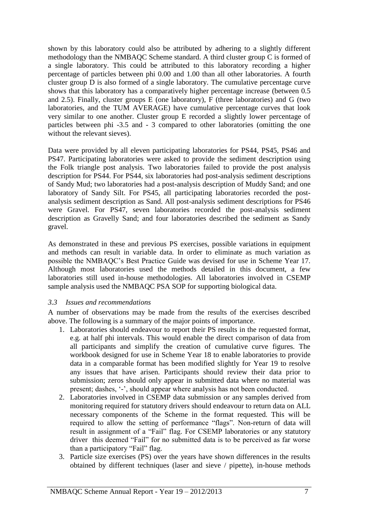shown by this laboratory could also be attributed by adhering to a slightly different methodology than the NMBAQC Scheme standard. A third cluster group C is formed of a single laboratory. This could be attributed to this laboratory recording a higher percentage of particles between phi 0.00 and 1.00 than all other laboratories. A fourth cluster group D is also formed of a single laboratory. The cumulative percentage curve shows that this laboratory has a comparatively higher percentage increase (between 0.5 and 2.5). Finally, cluster groups E (one laboratory), F (three laboratories) and G (two laboratories, and the TUM AVERAGE) have cumulative percentage curves that look very similar to one another. Cluster group E recorded a slightly lower percentage of particles between phi -3.5 and - 3 compared to other laboratories (omitting the one without the relevant sieves).

Data were provided by all eleven participating laboratories for PS44, PS45, PS46 and PS47. Participating laboratories were asked to provide the sediment description using the Folk triangle post analysis. Two laboratories failed to provide the post analysis description for PS44. For PS44, six laboratories had post-analysis sediment descriptions of Sandy Mud; two laboratories had a post-analysis description of Muddy Sand; and one laboratory of Sandy Silt. For PS45, all participating laboratories recorded the postanalysis sediment description as Sand. All post-analysis sediment descriptions for PS46 were Gravel. For PS47, seven laboratories recorded the post-analysis sediment description as Gravelly Sand; and four laboratories described the sediment as Sandy gravel.

As demonstrated in these and previous PS exercises, possible variations in equipment and methods can result in variable data. In order to eliminate as much variation as possible the NMBAQC's Best Practice Guide was devised for use in Scheme Year 17. Although most laboratories used the methods detailed in this document, a few laboratories still used in-house methodologies. All laboratories involved in CSEMP sample analysis used the NMBAQC PSA SOP for supporting biological data.

#### <span id="page-8-0"></span>*3.3 Issues and recommendations*

A number of observations may be made from the results of the exercises described above. The following is a summary of the major points of importance.

- 1. Laboratories should endeavour to report their PS results in the requested format, e.g. at half phi intervals. This would enable the direct comparison of data from all participants and simplify the creation of cumulative curve figures. The workbook designed for use in Scheme Year 18 to enable laboratories to provide data in a comparable format has been modified slightly for Year 19 to resolve any issues that have arisen. Participants should review their data prior to submission; zeros should only appear in submitted data where no material was present; dashes, '-', should appear where analysis has not been conducted.
- 2. Laboratories involved in CSEMP data submission or any samples derived from monitoring required for statutory drivers should endeavour to return data on ALL necessary components of the Scheme in the format requested. This will be required to allow the setting of performance "flags". Non-return of data will result in assignment of a "Fail" flag. For CSEMP laboratories or any statutory driver this deemed "Fail" for no submitted data is to be perceived as far worse than a participatory "Fail" flag.
- 3. Particle size exercises (PS) over the years have shown differences in the results obtained by different techniques (laser and sieve / pipette), in-house methods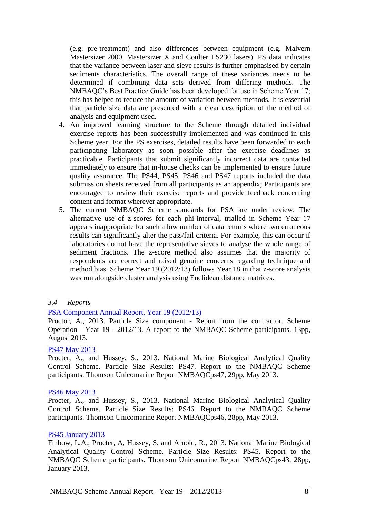(e.g. pre-treatment) and also differences between equipment (e.g. Malvern Mastersizer 2000, Mastersizer X and Coulter LS230 lasers). PS data indicates that the variance between laser and sieve results is further emphasised by certain sediments characteristics. The overall range of these variances needs to be determined if combining data sets derived from differing methods. The NMBAQC's Best Practice Guide has been developed for use in Scheme Year 17; this has helped to reduce the amount of variation between methods. It is essential that particle size data are presented with a clear description of the method of analysis and equipment used.

- 4. An improved learning structure to the Scheme through detailed individual exercise reports has been successfully implemented and was continued in this Scheme year. For the PS exercises, detailed results have been forwarded to each participating laboratory as soon possible after the exercise deadlines as practicable. Participants that submit significantly incorrect data are contacted immediately to ensure that in-house checks can be implemented to ensure future quality assurance. The PS44, PS45, PS46 and PS47 reports included the data submission sheets received from all participants as an appendix; Participants are encouraged to review their exercise reports and provide feedback concerning content and format wherever appropriate.
- 5. The current NMBAQC Scheme standards for PSA are under review. The alternative use of z-scores for each phi-interval, trialled in Scheme Year 17 appears inappropriate for such a low number of data returns where two erroneous results can significantly alter the pass/fail criteria. For example, this can occur if laboratories do not have the representative sieves to analyse the whole range of sediment fractions. The z-score method also assumes that the majority of respondents are correct and raised genuine concerns regarding technique and method bias. Scheme Year 19 (2012/13) follows Year 18 in that z-score analysis was run alongside cluster analysis using Euclidean distance matrices.

#### <span id="page-9-0"></span>*3.4 Reports*

#### [PSA Component Annual Report, Year 19 \(2012/13\)](http://www.nmbaqcs.org/scheme-components/particle-size-analysis/reports/yr19-psa-annual-report.aspx)

Proctor, A., 2013. Particle Size component - Report from the contractor. Scheme Operation - Year 19 - 2012/13. A report to the NMBAQC Scheme participants. 13pp, August 2013.

#### [PS47 May 2013](http://www.nmbaqcs.org/scheme-components/particle-size-analysis/reports/ps47.aspx)

Procter, A., and Hussey, S., 2013. National Marine Biological Analytical Quality Control Scheme. Particle Size Results: PS47. Report to the NMBAQC Scheme participants. Thomson Unicomarine Report NMBAQCps47, 29pp, May 2013.

#### [PS46 May 2013](http://www.nmbaqcs.org/scheme-components/particle-size-analysis/reports/ps46.aspx)

Procter, A., and Hussey, S., 2013. National Marine Biological Analytical Quality Control Scheme. Particle Size Results: PS46. Report to the NMBAQC Scheme participants. Thomson Unicomarine Report NMBAQCps46, 28pp, May 2013.

#### [PS45 January 2013](http://www.nmbaqcs.org/scheme-components/particle-size-analysis/reports/ps45.aspx)

Finbow, L.A., Procter, A, Hussey, S, and Arnold, R., 2013. National Marine Biological Analytical Quality Control Scheme. Particle Size Results: PS45. Report to the NMBAQC Scheme participants. Thomson Unicomarine Report NMBAQCps43, 28pp, January 2013.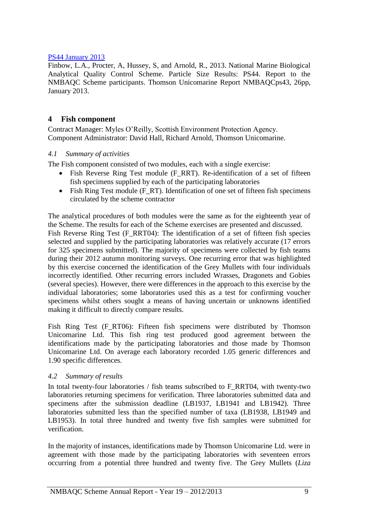#### [PS44 January 2013](http://www.nmbaqcs.org/scheme-components/particle-size-analysis/reports/ps44.aspx)

Finbow, L.A., Procter, A, Hussey, S, and Arnold, R., 2013. National Marine Biological Analytical Quality Control Scheme. Particle Size Results: PS44. Report to the NMBAQC Scheme participants. Thomson Unicomarine Report NMBAQCps43, 26pp, January 2013.

### <span id="page-10-0"></span>**4 Fish component**

Contract Manager: Myles O'Reilly, Scottish Environment Protection Agency. Component Administrator: David Hall, Richard Arnold, Thomson Unicomarine.

#### <span id="page-10-1"></span>*4.1 Summary of activities*

The Fish component consisted of two modules, each with a single exercise:

- Fish Reverse Ring Test module (F\_RRT). Re-identification of a set of fifteen fish specimens supplied by each of the participating laboratories
- Fish Ring Test module (F\_RT). Identification of one set of fifteen fish specimens circulated by the scheme contractor

The analytical procedures of both modules were the same as for the eighteenth year of the Scheme. The results for each of the Scheme exercises are presented and discussed. Fish Reverse Ring Test (F\_RRT04): The identification of a set of fifteen fish species selected and supplied by the participating laboratories was relatively accurate (17 errors for 325 specimens submitted). The majority of specimens were collected by fish teams during their 2012 autumn monitoring surveys. One recurring error that was highlighted by this exercise concerned the identification of the Grey Mullets with four individuals incorrectly identified. Other recurring errors included Wrasses, Dragonets and Gobies (several species). However, there were differences in the approach to this exercise by the individual laboratories; some laboratories used this as a test for confirming voucher specimens whilst others sought a means of having uncertain or unknowns identified making it difficult to directly compare results.

Fish Ring Test (F\_RT06): Fifteen fish specimens were distributed by Thomson Unicomarine Ltd. This fish ring test produced good agreement between the identifications made by the participating laboratories and those made by Thomson Unicomarine Ltd. On average each laboratory recorded 1.05 generic differences and 1.90 specific differences.

#### <span id="page-10-2"></span>*4.2 Summary of results*

In total twenty-four laboratories / fish teams subscribed to F\_RRT04, with twenty-two laboratories returning specimens for verification. Three laboratories submitted data and specimens after the submission deadline (LB1937, LB1941 and LB1942). Three laboratories submitted less than the specified number of taxa (LB1938, LB1949 and LB1953). In total three hundred and twenty five fish samples were submitted for verification.

In the majority of instances, identifications made by Thomson Unicomarine Ltd. were in agreement with those made by the participating laboratories with seventeen errors occurring from a potential three hundred and twenty five. The Grey Mullets (*Liza*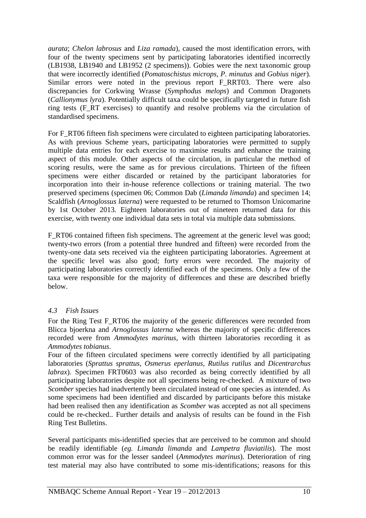*aurata*; *Chelon labrosus* and *Liza ramada*), caused the most identification errors, with four of the twenty specimens sent by participating laboratories identified incorrectly (LB1938, LB1940 and LB1952 (2 specimens)). Gobies were the next taxonomic group that were incorrectly identified (*Pomatoschistus microps, P. minutus* and *Gobius niger*). Similar errors were noted in the previous report F\_RRT03. There were also discrepancies for Corkwing Wrasse (*Symphodus melops*) and Common Dragonets (*Callionymus lyra*). Potentially difficult taxa could be specifically targeted in future fish ring tests (F\_RT exercises) to quantify and resolve problems via the circulation of standardised specimens.

For F\_RT06 fifteen fish specimens were circulated to eighteen participating laboratories. As with previous Scheme years, participating laboratories were permitted to supply multiple data entries for each exercise to maximise results and enhance the training aspect of this module. Other aspects of the circulation, in particular the method of scoring results, were the same as for previous circulations. Thirteen of the fifteen specimens were either discarded or retained by the participant laboratories for incorporation into their in-house reference collections or training material. The two preserved specimens (specimen 06; Common Dab (*Limanda limanda*) and specimen 14; Scaldfish (*Arnoglossus laterna*) were requested to be returned to Thomson Unicomarine by 1st October 2013. Eighteen laboratories out of nineteen returned data for this exercise, with twenty one individual data sets in total via multiple data submissions.

F\_RT06 contained fifteen fish specimens. The agreement at the generic level was good; twenty-two errors (from a potential three hundred and fifteen) were recorded from the twenty-one data sets received via the eighteen participating laboratories. Agreement at the specific level was also good; forty errors were recorded. The majority of participating laboratories correctly identified each of the specimens. Only a few of the taxa were responsible for the majority of differences and these are described briefly below.

#### <span id="page-11-0"></span>*4.3 Fish Issues*

For the Ring Test F\_RT06 the majority of the generic differences were recorded from Blicca bjoerkna and *Arnoglossus laterna* whereas the majority of specific differences recorded were from *Ammodytes marinus*, with thirteen laboratories recording it as *Ammodytes tobianus*.

Four of the fifteen circulated specimens were correctly identified by all participating laboratories (*Sprattus sprattus, Osmerus eperlanus, Rutilus rutilus* and *Dicentrarchus labrax*). Specimen FRT0603 was also recorded as being correctly identified by all participating laboratories despite not all specimens being re-checked. A mixture of two *Scomber* species had inadvertently been circulated instead of one species as intended. As some specimens had been identified and discarded by participants before this mistake had been realised then any identification as *Scomber* was accepted as not all specimens could be re-checked.. Further details and analysis of results can be found in the Fish Ring Test Bulletins.

Several participants mis-identified species that are perceived to be common and should be readily identifiable (*eg. Limanda limanda* and *Lampetra fluviatilis*). The most common error was for the lesser sandeel (*Ammodytes marinus*). Deterioration of ring test material may also have contributed to some mis-identifications; reasons for this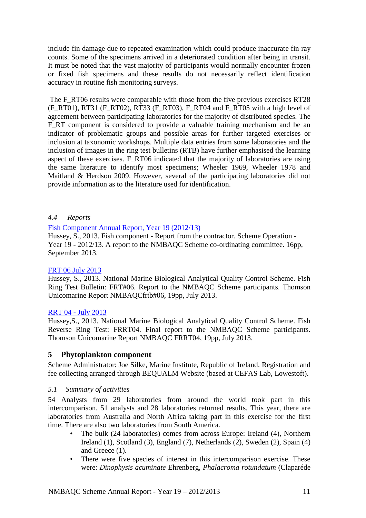include fin damage due to repeated examination which could produce inaccurate fin ray counts. Some of the specimens arrived in a deteriorated condition after being in transit. It must be noted that the vast majority of participants would normally encounter frozen or fixed fish specimens and these results do not necessarily reflect identification accuracy in routine fish monitoring surveys.

The F\_RT06 results were comparable with those from the five previous exercises RT28 (F\_RT01), RT31 (F\_RT02), RT33 (F\_RT03), F\_RT04 and F\_RT05 with a high level of agreement between participating laboratories for the majority of distributed species. The F<sub>RT</sub> component is considered to provide a valuable training mechanism and be an indicator of problematic groups and possible areas for further targeted exercises or inclusion at taxonomic workshops. Multiple data entries from some laboratories and the inclusion of images in the ring test bulletins (RTB) have further emphasised the learning aspect of these exercises. F\_RT06 indicated that the majority of laboratories are using the same literature to identify most specimens; Wheeler 1969, Wheeler 1978 and Maitland & Herdson 2009. However, several of the participating laboratories did not provide information as to the literature used for identification.

#### <span id="page-12-0"></span>*4.4 Reports*

#### [Fish Component Annual Report, Year 19 \(2012/13\)](http://www.nmbaqcs.org/scheme-components/fish/reports/year-19-annual-report-fish.aspx)

Hussey, S., 2013. Fish component - Report from the contractor. Scheme Operation - Year 19 - 2012/13. A report to the NMBAQC Scheme co-ordinating committee. 16pp, September 2013.

#### [FRT 06 July 2013](http://www.nmbaqcs.org/scheme-components/fish/reports/frt_06.aspx)

Hussey, S., 2013. National Marine Biological Analytical Quality Control Scheme. Fish Ring Test Bulletin: FRT#06. Report to the NMBAQC Scheme participants. Thomson Unicomarine Report NMBAQCfrtb#06, 19pp, July 2013.

#### RRT 04 - [July 2013](http://www.nmbaqcs.org/scheme-components/fish/reports/frrt04-final.aspx)

Hussey,S., 2013. National Marine Biological Analytical Quality Control Scheme. Fish Reverse Ring Test: FRRT04. Final report to the NMBAQC Scheme participants. Thomson Unicomarine Report NMBAQC FRRT04, 19pp, July 2013.

#### <span id="page-12-1"></span>**5 Phytoplankton component**

Scheme Administrator: Joe Silke, Marine Institute, Republic of Ireland. Registration and fee collecting arranged through BEQUALM Website (based at CEFAS Lab, Lowestoft).

#### <span id="page-12-2"></span>*5.1 Summary of activities*

54 Analysts from 29 laboratories from around the world took part in this intercomparison. 51 analysts and 28 laboratories returned results. This year, there are laboratories from Australia and North Africa taking part in this exercise for the first time. There are also two laboratories from South America.

- The bulk (24 laboratories) comes from across Europe: Ireland (4), Northern Ireland (1), Scotland (3), England (7), Netherlands (2), Sweden (2), Spain (4) and Greece (1).
- There were five species of interest in this intercomparison exercise. These were: *Dinophysis acuminate* Ehrenberg, *Phalacroma rotundatum* (Claparéde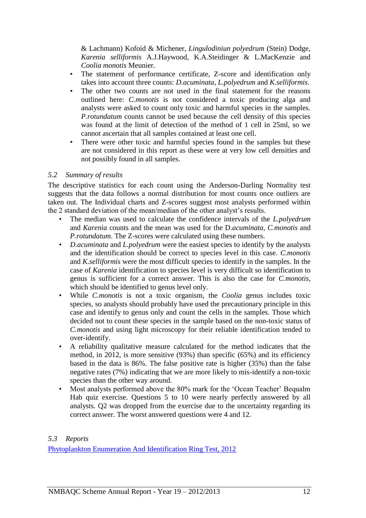& Lachmann) Kofoid & Michener, *Lingulodiniun polyedrum* (Stein) Dodge, *Karenia selliformis* A.J.Haywood, K.A.Steidinger & L.MacKenzie and *Coolia monotis* Meunier.

- The statement of performance certificate, Z-score and identification only takes into account three counts: *D.acuminata, L.polyedrum* and *K.selliformis*.
- The other two counts are not used in the final statement for the reasons outlined here: *C.monotis* is not considered a toxic producing alga and analysts were asked to count only toxic and harmful species in the samples. *P.rotundatum* counts cannot be used because the cell density of this species was found at the limit of detection of the method of 1 cell in 25ml, so we cannot ascertain that all samples contained at least one cell.
- There were other toxic and harmful species found in the samples but these are not considered in this report as these were at very low cell densities and not possibly found in all samples.

#### <span id="page-13-0"></span>*5.2 Summary of results*

The descriptive statistics for each count using the Anderson-Darling Normality test suggests that the data follows a normal distribution for most counts once outliers are taken out. The Individual charts and Z-scores suggest most analysts performed within the 2 standard deviation of the mean/median of the other analyst's results.

- The median was used to calculate the confidence intervals of the *L.polyedrum* and *Karenia* counts and the mean was used for the D*.acuminata, C.monotis* and *P.rotundatum*. The Z-scores were calculated using these numbers.
- *D.acuminata* and *L.polyedrum* were the easiest species to identify by the analysts and the identification should be correct to species level in this case. *C.monotis* and *K.selliformis* were the most difficult species to identify in the samples. In the case of *Karenia* identification to species level is very difficult so identification to genus is sufficient for a correct answer. This is also the case for *C.monotis*, which should be identified to genus level only.
- While *C.monotis* is not a toxic organism, the *Coolia* genus includes toxic species, so analysts should probably have used the precautionary principle in this case and identify to genus only and count the cells in the samples. Those which decided not to count these species in the sample based on the non-toxic status of *C.monotis* and using light microscopy for their reliable identification tended to over-identify.
- A reliability qualitative measure calculated for the method indicates that the method, in 2012, is more sensitive (93%) than specific (65%) and its efficiency based in the data is 86%. The false positive rate is higher (35%) than the false negative rates (7%) indicating that we are more likely to mis-identify a non-toxic species than the other way around.
- Most analysts performed above the 80% mark for the 'Ocean Teacher' Bequalm Hab quiz exercise. Questions 5 to 10 were nearly perfectly answered by all analysts. Q2 was dropped from the exercise due to the uncertainty regarding its correct answer. The worst answered questions were 4 and 12.

#### <span id="page-13-1"></span>*5.3 Reports*

[Phytoplankton Enumeration And Identification Ring Test, 2012](http://www.nmbaqcs.org/reports/phyto-report-jan-2013.aspx)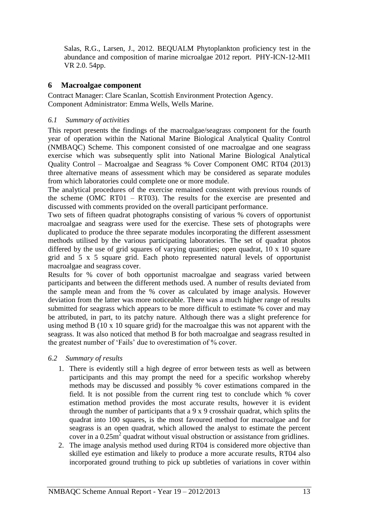Salas, R.G., Larsen, J., 2012. BEQUALM Phytoplankton proficiency test in the abundance and composition of marine microalgae 2012 report. PHY-ICN-12-MI1 VR 2.0. 54pp.

## <span id="page-14-0"></span>**6 Macroalgae component**

Contract Manager: Clare Scanlan, Scottish Environment Protection Agency. Component Administrator: Emma Wells, Wells Marine.

#### <span id="page-14-1"></span>*6.1 Summary of activities*

This report presents the findings of the macroalgae/seagrass component for the fourth year of operation within the National Marine Biological Analytical Quality Control (NMBAQC) Scheme. This component consisted of one macroalgae and one seagrass exercise which was subsequently split into National Marine Biological Analytical Quality Control – Macroalgae and Seagrass % Cover Component OMC RT04 (2013) three alternative means of assessment which may be considered as separate modules from which laboratories could complete one or more module.

The analytical procedures of the exercise remained consistent with previous rounds of the scheme (OMC RT01 – RT03). The results for the exercise are presented and discussed with comments provided on the overall participant performance.

Two sets of fifteen quadrat photographs consisting of various % covers of opportunist macroalgae and seagrass were used for the exercise. These sets of photographs were duplicated to produce the three separate modules incorporating the different assessment methods utilised by the various participating laboratories. The set of quadrat photos differed by the use of grid squares of varying quantities; open quadrat, 10 x 10 square grid and 5 x 5 square grid. Each photo represented natural levels of opportunist macroalgae and seagrass cover.

Results for % cover of both opportunist macroalgae and seagrass varied between participants and between the different methods used. A number of results deviated from the sample mean and from the % cover as calculated by image analysis. However deviation from the latter was more noticeable. There was a much higher range of results submitted for seagrass which appears to be more difficult to estimate % cover and may be attributed, in part, to its patchy nature. Although there was a slight preference for using method B (10 x 10 square grid) for the macroalgae this was not apparent with the seagrass. It was also noticed that method B for both macroalgae and seagrass resulted in the greatest number of 'Fails' due to overestimation of % cover.

#### <span id="page-14-2"></span>*6.2 Summary of results*

- 1. There is evidently still a high degree of error between tests as well as between participants and this may prompt the need for a specific workshop whereby methods may be discussed and possibly % cover estimations compared in the field. It is not possible from the current ring test to conclude which % cover estimation method provides the most accurate results, however it is evident through the number of participants that a 9 x 9 crosshair quadrat, which splits the quadrat into 100 squares, is the most favoured method for macroalgae and for seagrass is an open quadrat, which allowed the analyst to estimate the percent cover in a  $0.25 \text{m}^2$  quadrat without visual obstruction or assistance from gridlines.
- 2. The image analysis method used during RT04 is considered more objective than skilled eye estimation and likely to produce a more accurate results, RT04 also incorporated ground truthing to pick up subtleties of variations in cover within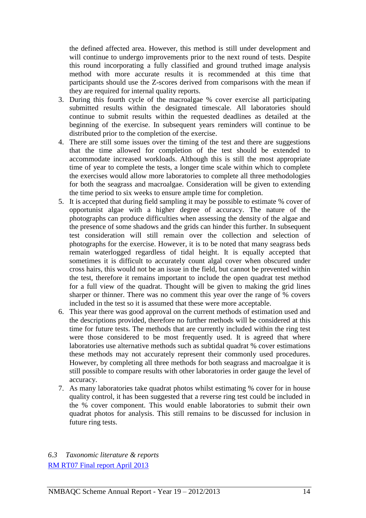the defined affected area. However, this method is still under development and will continue to undergo improvements prior to the next round of tests. Despite this round incorporating a fully classified and ground truthed image analysis method with more accurate results it is recommended at this time that participants should use the Z-scores derived from comparisons with the mean if they are required for internal quality reports.

- 3. During this fourth cycle of the macroalgae % cover exercise all participating submitted results within the designated timescale. All laboratories should continue to submit results within the requested deadlines as detailed at the beginning of the exercise. In subsequent years reminders will continue to be distributed prior to the completion of the exercise.
- 4. There are still some issues over the timing of the test and there are suggestions that the time allowed for completion of the test should be extended to accommodate increased workloads. Although this is still the most appropriate time of year to complete the tests, a longer time scale within which to complete the exercises would allow more laboratories to complete all three methodologies for both the seagrass and macroalgae. Consideration will be given to extending the time period to six weeks to ensure ample time for completion.
- 5. It is accepted that during field sampling it may be possible to estimate % cover of opportunist algae with a higher degree of accuracy. The nature of the photographs can produce difficulties when assessing the density of the algae and the presence of some shadows and the grids can hinder this further. In subsequent test consideration will still remain over the collection and selection of photographs for the exercise. However, it is to be noted that many seagrass beds remain waterlogged regardless of tidal height. It is equally accepted that sometimes it is difficult to accurately count algal cover when obscured under cross hairs, this would not be an issue in the field, but cannot be prevented within the test, therefore it remains important to include the open quadrat test method for a full view of the quadrat. Thought will be given to making the grid lines sharper or thinner. There was no comment this year over the range of % covers included in the test so it is assumed that these were more acceptable.
- 6. This year there was good approval on the current methods of estimation used and the descriptions provided, therefore no further methods will be considered at this time for future tests. The methods that are currently included within the ring test were those considered to be most frequently used. It is agreed that where laboratories use alternative methods such as subtidal quadrat % cover estimations these methods may not accurately represent their commonly used procedures. However, by completing all three methods for both seagrass and macroalgae it is still possible to compare results with other laboratories in order gauge the level of accuracy.
- 7. As many laboratories take quadrat photos whilst estimating % cover for in house quality control, it has been suggested that a reverse ring test could be included in the % cover component. This would enable laboratories to submit their own quadrat photos for analysis. This still remains to be discussed for inclusion in future ring tests.

<span id="page-15-0"></span>*6.3 Taxonomic literature & reports* [RM RT07 Final report April 2013](http://www.nmbaqcs.org/scheme-components/macroalgae/reports/rm-rt07-final-report.aspx)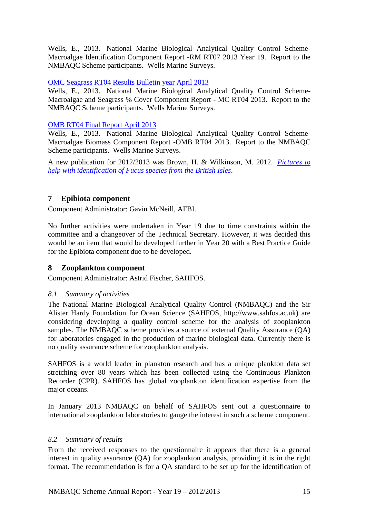Wells, E., 2013. National Marine Biological Analytical Quality Control Scheme-Macroalgae Identification Component Report -RM RT07 2013 Year 19. Report to the NMBAQC Scheme participants. Wells Marine Surveys.

### [OMC Seagrass RT04 Results Bulletin year April 2013](http://www.nmbaqcs.org/scheme-components/macroalgae/reports/omc-rt04-final-report.aspx)

Wells, E., 2013. National Marine Biological Analytical Quality Control Scheme-Macroalgae and Seagrass % Cover Component Report - MC RT04 2013. Report to the NMBAQC Scheme participants. Wells Marine Surveys.

### [OMB RT04 Final Report April 2013](http://www.nmbaqcs.org/scheme-components/macroalgae/reports/omb-rt04-final-report.aspx)

Wells, E., 2013. National Marine Biological Analytical Quality Control Scheme-Macroalgae Biomass Component Report -OMB RT04 2013. Report to the NMBAQC Scheme participants. Wells Marine Surveys.

A new publication for 2012/2013 was Brown, H. & Wilkinson, M. 2012. *[Pictures to](http://www.nmbaqcs.org/scheme-components/macroalgae/reports/fucus-guide.aspx)  [help with identification of Fucus species from the British Isles](http://www.nmbaqcs.org/scheme-components/macroalgae/reports/fucus-guide.aspx)*.

## <span id="page-16-0"></span>**7 Epibiota component**

Component Administrator: Gavin McNeill, AFBI.

No further activities were undertaken in Year 19 due to time constraints within the committee and a changeover of the Technical Secretary. However, it was decided this would be an item that would be developed further in Year 20 with a Best Practice Guide for the Epibiota component due to be developed.

## <span id="page-16-1"></span>**8 Zooplankton component**

Component Administrator: Astrid Fischer, SAHFOS.

#### <span id="page-16-2"></span>*8.1 Summary of activities*

The National Marine Biological Analytical Quality Control (NMBAQC) and the Sir Alister Hardy Foundation for Ocean Science (SAHFOS, http://www.sahfos.ac.uk) are considering developing a quality control scheme for the analysis of zooplankton samples. The NMBAQC scheme provides a source of external Quality Assurance (QA) for laboratories engaged in the production of marine biological data. Currently there is no quality assurance scheme for zooplankton analysis.

SAHFOS is a world leader in plankton research and has a unique plankton data set stretching over 80 years which has been collected using the Continuous Plankton Recorder (CPR). SAHFOS has global zooplankton identification expertise from the major oceans.

In January 2013 NMBAQC on behalf of SAHFOS sent out a questionnaire to international zooplankton laboratories to gauge the interest in such a scheme component.

#### <span id="page-16-3"></span>*8.2 Summary of results*

From the received responses to the questionnaire it appears that there is a general interest in quality assurance (QA) for zooplankton analysis, providing it is in the right format. The recommendation is for a QA standard to be set up for the identification of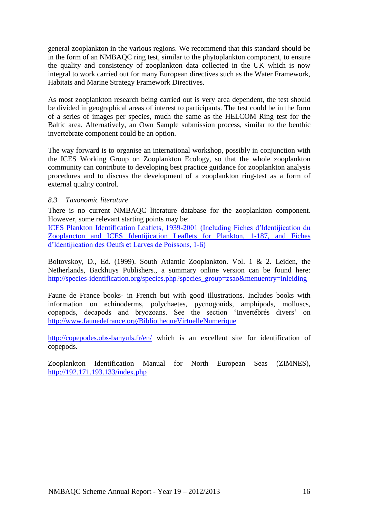general zooplankton in the various regions. We recommend that this standard should be in the form of an NMBAQC ring test, similar to the phytoplankton component, to ensure the quality and consistency of zooplankton data collected in the UK which is now integral to work carried out for many European directives such as the Water Framework, Habitats and Marine Strategy Framework Directives.

As most zooplankton research being carried out is very area dependent, the test should be divided in geographical areas of interest to participants. The test could be in the form of a series of images per species, much the same as the HELCOM Ring test for the Baltic area. Alternatively, an Own Sample submission process, similar to the benthic invertebrate component could be an option.

The way forward is to organise an international workshop, possibly in conjunction with the ICES Working Group on Zooplankton Ecology, so that the whole zooplankton community can contribute to developing best practice guidance for zooplankton analysis procedures and to discuss the development of a zooplankton ring-test as a form of external quality control.

#### <span id="page-17-0"></span>*8.3 Taxonomic literature*

There is no current NMBAQC literature database for the zooplankton component. However, some relevant starting points may be:

[ICES Plankton Identification Leaflets, 1939-2001 \(Including Fiches d'ldentijication du](http://www.ices.dk/sites/pub/Publication%20Reports/Plankton%20leaflets/INDEX.PDF)  [Zooplancton and ICES Identijication Leaflets for Plankton, 1-187, and Fiches](http://www.ices.dk/sites/pub/Publication%20Reports/Plankton%20leaflets/INDEX.PDF)  [d'ldentijication des Oeufs et Larves de Poissons, 1-6\)](http://www.ices.dk/sites/pub/Publication%20Reports/Plankton%20leaflets/INDEX.PDF)

Boltovskoy, D., Ed. (1999). South Atlantic Zooplankton. Vol. 1 & 2. Leiden, the Netherlands, Backhuys Publishers., a summary online version can be found here: [http://species-identification.org/species.php?species\\_group=zsao&menuentry=inleiding](http://species-identification.org/species.php?species_group=zsao&menuentry=inleiding)

Faune de France books- in French but with good illustrations. Includes books with information on echinoderms, polychaetes, pycnogonids, amphipods, molluscs, copepods, decapods and bryozoans. See the section 'Invertébrés divers' on <http://www.faunedefrance.org/BibliothequeVirtuelleNumerique>

<http://copepodes.obs-banyuls.fr/en/> which is an excellent site for identification of copepods.

Zooplankton Identification Manual for North European Seas (ZIMNES), <http://192.171.193.133/index.php>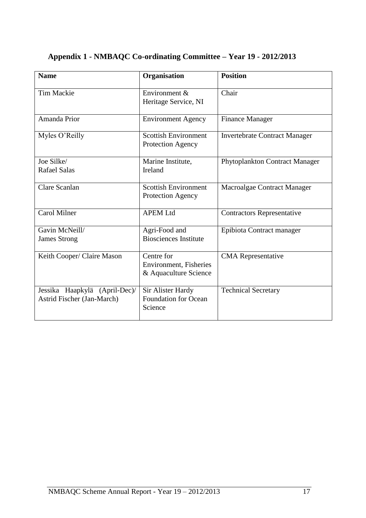| <b>Name</b>                   | Organisation                                     | <b>Position</b>                      |
|-------------------------------|--------------------------------------------------|--------------------------------------|
|                               |                                                  |                                      |
| <b>Tim Mackie</b>             | Environment &                                    | Chair                                |
|                               | Heritage Service, NI                             |                                      |
|                               |                                                  |                                      |
| Amanda Prior                  | <b>Environment Agency</b>                        | <b>Finance Manager</b>               |
| Myles O'Reilly                | <b>Scottish Environment</b>                      | <b>Invertebrate Contract Manager</b> |
|                               | Protection Agency                                |                                      |
|                               |                                                  |                                      |
| Joe Silke/                    | Marine Institute,                                | Phytoplankton Contract Manager       |
| <b>Rafael Salas</b>           | Ireland                                          |                                      |
|                               |                                                  |                                      |
| Clare Scanlan                 | <b>Scottish Environment</b><br>Protection Agency | Macroalgae Contract Manager          |
|                               |                                                  |                                      |
| Carol Milner                  | <b>APEM Ltd</b>                                  | <b>Contractors Representative</b>    |
|                               |                                                  |                                      |
| Gavin McNeill/                | Agri-Food and                                    | Epibiota Contract manager            |
| <b>James Strong</b>           | <b>Biosciences Institute</b>                     |                                      |
|                               | Centre for                                       |                                      |
| Keith Cooper/ Claire Mason    | Environment, Fisheries                           | <b>CMA</b> Representative            |
|                               | & Aquaculture Science                            |                                      |
|                               |                                                  |                                      |
| Jessika Haapkylä (April-Dec)/ | Sir Alister Hardy                                | <b>Technical Secretary</b>           |
| Astrid Fischer (Jan-March)    | <b>Foundation for Ocean</b>                      |                                      |
|                               | Science                                          |                                      |
|                               |                                                  |                                      |

## <span id="page-18-0"></span>**Appendix 1 - NMBAQC Co-ordinating Committee – Year 19 - 2012/2013**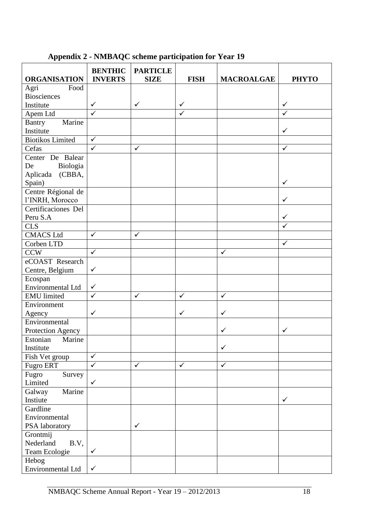#### **ORGANISATION BENTHIC INVERTS PARTICLE SIZE FISH MACROALGAE PHYTO** Agri Food Biosciences Institute  $\begin{vmatrix} \checkmark & \checkmark \end{vmatrix}$   $\begin{vmatrix} \checkmark & \checkmark \end{vmatrix}$   $\begin{vmatrix} \checkmark & \checkmark \end{vmatrix}$   $\begin{vmatrix} \checkmark & \checkmark \end{vmatrix}$   $\begin{vmatrix} \checkmark & \checkmark \end{vmatrix}$ Apem Ltd  $\checkmark$  / Bantry Marine Institute Biotikos Limited  $\sqrt{\frac{C}{C}}$ Cefas Center De Balear De Biologia Aplicada (CBBA, Spain) and  $\sim$   $\sim$   $\sim$   $\sim$ Centre Régional de l'INRH, Morocco Certificaciones Del Peru S.A CLS CMACS Ltd Corben LTD  $CCW$   $\checkmark$   $\checkmark$   $\checkmark$   $\checkmark$ eCOAST Research Centre, Belgium Ecospan Environmental Ltd  $\vert \checkmark$ EMU limited  $\sqrt{ }$   $\sqrt{ }$ Environment Agency  $\vert \checkmark$   $\vert$   $\vert$ Environmental Protection Agency Estonian Marine Institute  $\vert \qquad \vert$   $\vert \qquad \vert$ Fish Vet group  $\|\checkmark$ Fugro ERT  $\vert \checkmark$   $\vert \checkmark$   $\vert \checkmark$ Fugro Survey Limited  $\vert \checkmark$ Galway Marine Instiute  $\vert \hspace{.1cm} \vert$   $\vert$ **Gardline** Environmental PSA laboratory  $\vert \checkmark$ Grontmij Nederland B.V, Team Ecologie Hebog Environmental Ltd  $\vert \checkmark$

## <span id="page-19-0"></span>**Appendix 2 - NMBAQC scheme participation for Year 19**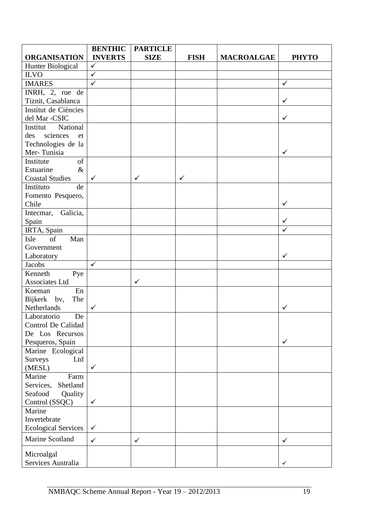|                            | <b>BENTHIC</b>          | <b>PARTICLE</b> |              |                   |              |
|----------------------------|-------------------------|-----------------|--------------|-------------------|--------------|
| <b>ORGANISATION</b>        | <b>INVERTS</b>          | <b>SIZE</b>     | <b>FISH</b>  | <b>MACROALGAE</b> | <b>PHYTO</b> |
| Hunter Biological          | $\checkmark$            |                 |              |                   |              |
| <b>ILVO</b>                | $\overline{\checkmark}$ |                 |              |                   |              |
| <b>IMARES</b>              | $\checkmark$            |                 |              |                   | $\checkmark$ |
| INRH, 2, rue de            |                         |                 |              |                   |              |
| Tiznit, Casablanca         |                         |                 |              |                   | ✓            |
| Institut de Ciències       |                         |                 |              |                   |              |
| del Mar -CSIC              |                         |                 |              |                   | $\checkmark$ |
| Institut<br>National       |                         |                 |              |                   |              |
| des<br>sciences<br>et      |                         |                 |              |                   |              |
| Technologies de la         |                         |                 |              |                   |              |
| Mer-Tunisia                |                         |                 |              |                   | $\checkmark$ |
| Institute<br>of            |                         |                 |              |                   |              |
| Estuarine<br>$\&$          |                         |                 |              |                   |              |
| <b>Coastal Studies</b>     | $\checkmark$            | $\checkmark$    | $\checkmark$ |                   |              |
| Instituto<br>de            |                         |                 |              |                   |              |
| Fomento Pesquero,          |                         |                 |              |                   |              |
| Chile                      |                         |                 |              |                   | $\checkmark$ |
| Galicia,<br>Intecmar,      |                         |                 |              |                   |              |
| Spain                      |                         |                 |              |                   | ✓            |
| IRTA, Spain                |                         |                 |              |                   | ✓            |
| Man<br>Isle<br>of          |                         |                 |              |                   |              |
| Government                 |                         |                 |              |                   |              |
| Laboratory                 |                         |                 |              |                   | ✓            |
| Jacobs                     | $\checkmark$            |                 |              |                   |              |
| Kenneth<br>Pye             |                         |                 |              |                   |              |
| Associates Ltd             |                         | $\checkmark$    |              |                   |              |
| En<br>Koeman               |                         |                 |              |                   |              |
| Bijkerk bv,<br>The         |                         |                 |              |                   |              |
| Netherlands                | ✓                       |                 |              |                   | ✓            |
| Laboratorio<br>De          |                         |                 |              |                   |              |
| <b>Control De Calidad</b>  |                         |                 |              |                   |              |
| De Los Recursos            |                         |                 |              |                   |              |
| Pesqueros, Spain           |                         |                 |              |                   | $\checkmark$ |
| Marine Ecological          |                         |                 |              |                   |              |
| Surveys<br>Ltd             | $\checkmark$            |                 |              |                   |              |
| (MESL)<br>Marine           |                         |                 |              |                   |              |
| Farm                       |                         |                 |              |                   |              |
| Shetland<br>Services,      |                         |                 |              |                   |              |
| Quality<br>Seafood         | $\checkmark$            |                 |              |                   |              |
| Control (SSQC)<br>Marine   |                         |                 |              |                   |              |
| Invertebrate               |                         |                 |              |                   |              |
| <b>Ecological Services</b> | $\checkmark$            |                 |              |                   |              |
|                            |                         |                 |              |                   |              |
| Marine Scotland            | $\checkmark$            | $\checkmark$    |              |                   | $\checkmark$ |
| Microalgal                 |                         |                 |              |                   |              |
| Services Australia         |                         |                 |              |                   | ✓            |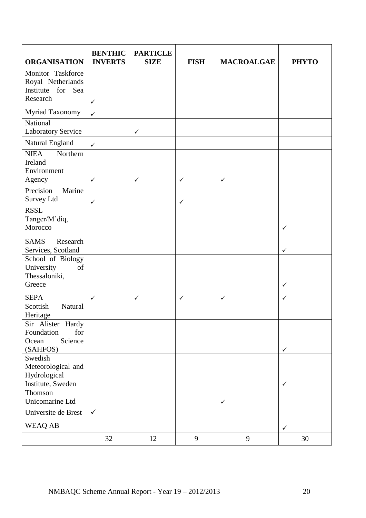| <b>ORGANISATION</b>                                                     | <b>BENTHIC</b><br><b>INVERTS</b> | <b>PARTICLE</b><br><b>SIZE</b> | <b>FISH</b>  | <b>MACROALGAE</b> | <b>PHYTO</b> |
|-------------------------------------------------------------------------|----------------------------------|--------------------------------|--------------|-------------------|--------------|
| Monitor Taskforce<br>Royal Netherlands<br>Institute for Sea<br>Research | $\checkmark$                     |                                |              |                   |              |
| Myriad Taxonomy                                                         | $\checkmark$                     |                                |              |                   |              |
| National<br><b>Laboratory Service</b>                                   |                                  | $\checkmark$                   |              |                   |              |
| Natural England                                                         | $\checkmark$                     |                                |              |                   |              |
| <b>NIEA</b><br>Northern<br>Ireland<br>Environment<br>Agency             | ✓                                | $\checkmark$                   | $\checkmark$ | $\checkmark$      |              |
| Precision<br>Marine<br>Survey Ltd                                       | ✓                                |                                | $\checkmark$ |                   |              |
| <b>RSSL</b><br>Tanger/M'diq,<br>Morocco                                 |                                  |                                |              |                   | $\checkmark$ |
| <b>SAMS</b><br>Research<br>Services, Scotland                           |                                  |                                |              |                   | $\checkmark$ |
| School of Biology<br>University<br>of<br>Thessaloniki,                  |                                  |                                |              |                   |              |
| Greece                                                                  |                                  |                                |              |                   | $\checkmark$ |
| <b>SEPA</b><br>Natural<br>Scottish<br>Heritage                          | ✓                                | ✓                              | ✓            | ✓                 | $\checkmark$ |
| Sir Alister Hardy<br>for<br>Foundation<br>Science<br>Ocean<br>(SAHFOS)  |                                  |                                |              |                   | $\checkmark$ |
| Swedish<br>Meteorological and<br>Hydrological<br>Institute, Sweden      |                                  |                                |              |                   | $\checkmark$ |
| Thomson<br>Unicomarine Ltd                                              |                                  |                                |              | $\checkmark$      |              |
| Universite de Brest                                                     | $\checkmark$                     |                                |              |                   |              |
| WEAQ AB                                                                 |                                  |                                |              |                   | $\checkmark$ |
|                                                                         | 32                               | 12                             | 9            | $\overline{9}$    | 30           |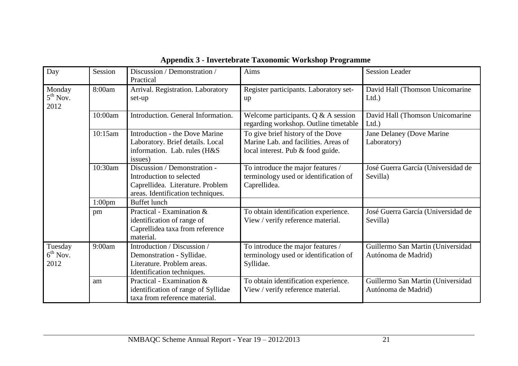<span id="page-22-0"></span>

| Day                           | Session            | Discussion / Demonstration /<br>Practical                                                                                         | Aims                                                                                                           | <b>Session Leader</b>                                    |
|-------------------------------|--------------------|-----------------------------------------------------------------------------------------------------------------------------------|----------------------------------------------------------------------------------------------------------------|----------------------------------------------------------|
| Monday<br>$5th$ Nov.<br>2012  | 8:00am             | Arrival. Registration. Laboratory<br>set-up                                                                                       | Register participants. Laboratory set-<br>up                                                                   | David Hall (Thomson Unicomarine<br>Ltd.                  |
|                               | 10:00am            | Introduction. General Information.                                                                                                | Welcome participants. $Q \& A$ session<br>regarding workshop. Outline timetable                                | David Hall (Thomson Unicomarine<br>Ltd.                  |
|                               | 10:15am            | <b>Introduction - the Dove Marine</b><br>Laboratory. Brief details. Local<br>information. Lab. rules (H&S)<br>issues)             | To give brief history of the Dove<br>Marine Lab. and facilities. Areas of<br>local interest. Pub & food guide. | Jane Delaney (Dove Marine<br>Laboratory)                 |
|                               | 10:30am            | Discussion / Demonstration -<br>Introduction to selected<br>Caprellidea. Literature. Problem<br>areas. Identification techniques. | To introduce the major features /<br>terminology used or identification of<br>Caprellidea.                     | José Guerra García (Universidad de<br>Sevilla)           |
|                               | 1:00 <sub>pm</sub> | <b>Buffet lunch</b>                                                                                                               |                                                                                                                |                                                          |
|                               | pm                 | Practical - Examination &<br>identification of range of<br>Caprellidea taxa from reference<br>material.                           | To obtain identification experience.<br>View / verify reference material.                                      | José Guerra García (Universidad de<br>Sevilla)           |
| Tuesday<br>$6th$ Nov.<br>2012 | 9:00am             | Introduction / Discussion /<br>Demonstration - Syllidae.<br>Literature. Problem areas.<br>Identification techniques.              | To introduce the major features /<br>terminology used or identification of<br>Syllidae.                        | Guillermo San Martin (Universidad<br>Autónoma de Madrid) |
|                               | am                 | Practical - Examination &<br>identification of range of Syllidae<br>taxa from reference material.                                 | To obtain identification experience.<br>View / verify reference material.                                      | Guillermo San Martin (Universidad<br>Autónoma de Madrid) |

# **Appendix 3 - Invertebrate Taxonomic Workshop Programme**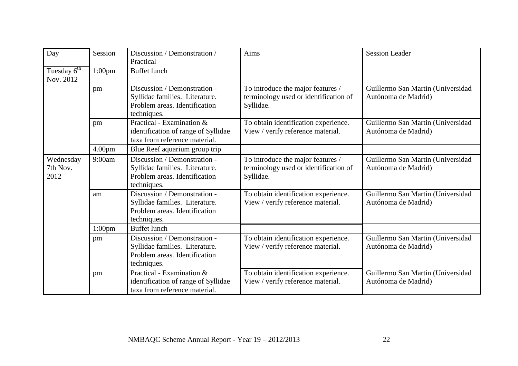| Day                                             | Session                                                                                                 | Discussion / Demonstration /<br>Practical                                                                      | Aims                                                                                    | <b>Session Leader</b>                                    |
|-------------------------------------------------|---------------------------------------------------------------------------------------------------------|----------------------------------------------------------------------------------------------------------------|-----------------------------------------------------------------------------------------|----------------------------------------------------------|
| Tuesday $\overline{6}^{\text{th}}$<br>Nov. 2012 | 1:00 <sub>pm</sub>                                                                                      | <b>Buffet</b> lunch                                                                                            |                                                                                         |                                                          |
|                                                 | pm                                                                                                      | Discussion / Demonstration -<br>Syllidae families. Literature.<br>Problem areas. Identification<br>techniques. | To introduce the major features /<br>terminology used or identification of<br>Syllidae. | Guillermo San Martin (Universidad<br>Autónoma de Madrid) |
|                                                 | Practical - Examination &<br>pm<br>identification of range of Syllidae<br>taxa from reference material. |                                                                                                                | To obtain identification experience.<br>View / verify reference material.               | Guillermo San Martin (Universidad<br>Autónoma de Madrid) |
|                                                 | 4.00 <sub>pm</sub>                                                                                      | Blue Reef aquarium group trip                                                                                  |                                                                                         |                                                          |
| Wednesday<br>7th Nov.<br>2012                   | 9:00am                                                                                                  | Discussion / Demonstration -<br>Syllidae families. Literature.<br>Problem areas. Identification<br>techniques. | To introduce the major features /<br>terminology used or identification of<br>Syllidae. | Guillermo San Martin (Universidad<br>Autónoma de Madrid) |
|                                                 | am                                                                                                      | Discussion / Demonstration -<br>Syllidae families. Literature.<br>Problem areas. Identification<br>techniques. | To obtain identification experience.<br>View / verify reference material.               | Guillermo San Martin (Universidad<br>Autónoma de Madrid) |
|                                                 | $1:00$ pm                                                                                               | <b>Buffet lunch</b>                                                                                            |                                                                                         |                                                          |
|                                                 | pm                                                                                                      | Discussion / Demonstration -<br>Syllidae families. Literature.<br>Problem areas. Identification<br>techniques. | To obtain identification experience.<br>View / verify reference material.               | Guillermo San Martin (Universidad<br>Autónoma de Madrid) |
|                                                 | pm                                                                                                      | Practical - Examination &<br>identification of range of Syllidae<br>taxa from reference material.              | To obtain identification experience.<br>View / verify reference material.               | Guillermo San Martin (Universidad<br>Autónoma de Madrid) |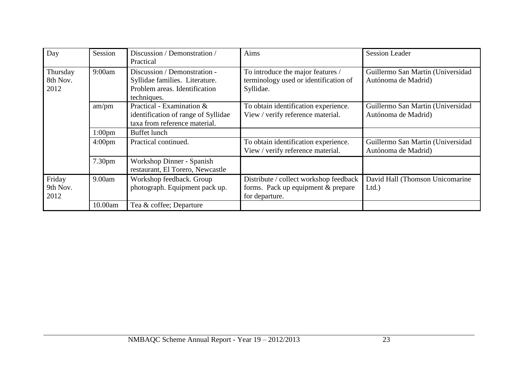| Day                          | Session            | Discussion / Demonstration /<br>Practical                                                                      | Aims                                                                                           | <b>Session Leader</b>                                    |
|------------------------------|--------------------|----------------------------------------------------------------------------------------------------------------|------------------------------------------------------------------------------------------------|----------------------------------------------------------|
| Thursday<br>8th Nov.<br>2012 | 9:00am             | Discussion / Demonstration -<br>Syllidae families. Literature.<br>Problem areas. Identification<br>techniques. | To introduce the major features /<br>terminology used or identification of<br>Syllidae.        | Guillermo San Martin (Universidad<br>Autónoma de Madrid) |
|                              | am/pm              | Practical - Examination &<br>identification of range of Syllidae<br>taxa from reference material.              | To obtain identification experience.<br>View / verify reference material.                      | Guillermo San Martin (Universidad<br>Autónoma de Madrid) |
|                              | 1:00 <sub>pm</sub> | Buffet lunch                                                                                                   |                                                                                                |                                                          |
|                              | $4:00 \text{pm}$   | Practical continued.                                                                                           | To obtain identification experience.<br>View / verify reference material.                      | Guillermo San Martin (Universidad<br>Autónoma de Madrid) |
|                              | 7.30pm             | Workshop Dinner - Spanish<br>restaurant, El Torero, Newcastle                                                  |                                                                                                |                                                          |
| Friday<br>9th Nov.<br>2012   | 9.00am             | Workshop feedback. Group<br>photograph. Equipment pack up.                                                     | Distribute / collect workshop feedback<br>forms. Pack up equipment & prepare<br>for departure. | David Hall (Thomson Unicomarine<br>Ltd.                  |
|                              | 10.00am            | Tea & coffee; Departure                                                                                        |                                                                                                |                                                          |